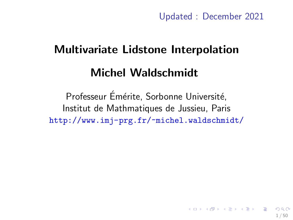Updated : December 2021

# <span id="page-0-0"></span>Multivariate Lidstone Interpolation Michel Waldschmidt

Professeur Émérite, Sorbonne Université, Institut de Mathmatiques de Jussieu, Paris <http://www.imj-prg.fr/~michel.waldschmidt/>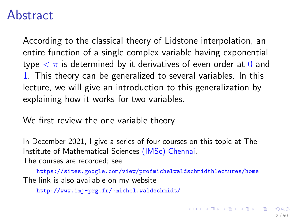### Abstract

According to the classical theory of Lidstone interpolation, an entire function of a single complex variable having exponential type  $\langle \pi \rangle$  is determined by it derivatives of even order at 0 and 1. This theory can be generalized to several variables. In this lecture, we will give an introduction to this generalization by explaining how it works for two variables.

We first review the one variable theory.

In December 2021, I give a series of four courses on this topic at The Institute of Mathematical Sciences [\(IMSc\) Chennai.](https://www.imsc.res.in/seminar-list) The courses are recorded; see

<https://sites.google.com/view/profmichelwaldschmidthlectures/home> The link is also available on my website

```
http://www.imj-prg.fr/~michel.waldschmidt/
```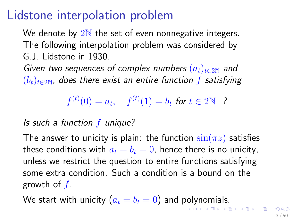# Lidstone interpolation problem

We denote by  $2N$  the set of even nonnegative integers. The following interpolation problem was considered by G.J. Lidstone in 1930.

Given two sequences of complex numbers  $(a_t)_{t\in 2N}$  and  $(b_t)_{t\in 2N}$ , does there exist an entire function f satisfying

 $f^{(t)}(0) = a_t, \quad f^{(t)}(1) = b_t$  for  $t \in 2\mathbb{N}$  ?

#### Is such a function  $f$  unique?

The answer to unicity is plain: the function  $\sin(\pi z)$  satisfies these conditions with  $a_t = b_t = 0$ , hence there is no unicity, unless we restrict the question to entire functions satisfying some extra condition. Such a condition is a bound on the growth of  $f$ .

We start with unicity  $(a_t = b_t = 0)$  and polynomials.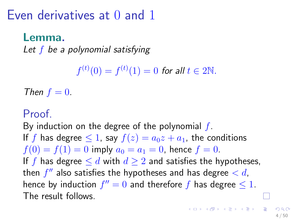Even derivatives at 0 and 1

### Lemma.

Let  $f$  be a polynomial satisfying

 $f^{(t)}(0) = f^{(t)}(1) = 0$  for all  $t \in 2\mathbb{N}$ .

Then  $f = 0$ .

### Proof.

By induction on the degree of the polynomial  $f$ . If f has degree  $\leq 1$ , say  $f(z) = a_0 z + a_1$ , the conditions  $f(0) = f(1) = 0$  imply  $a_0 = a_1 = 0$ , hence  $f = 0$ . If f has degree  $\leq d$  with  $d \geq 2$  and satisfies the hypotheses, then  $f''$  also satisfies the hypotheses and has degree  $< d$ , hence by induction  $f'' = 0$  and therefore f has degree  $\leq 1$ . The result follows.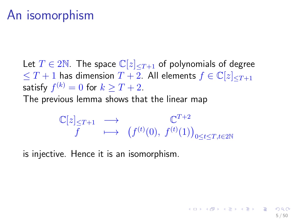Let  $T \in 2\mathbb{N}$ . The space  $\mathbb{C}[z]_{\leq T+1}$  of polynomials of degree  $\leq T+1$  has dimension  $T+2$ . All elements  $f \in \mathbb{C}[z]_{\leq T+1}$ satisfy  $f^{(k)}=0$  for  $k\geq T+2.$ The previous lemma shows that the linear map

$$
\mathbb{C}[z]_{\leq T+1} \longrightarrow \mathbb{C}^{T+2}
$$
  

$$
f \longmapsto (f^{(t)}(0), f^{(t)}(1))_{0 \leq t \leq T, t \in 2\mathbb{N}}
$$

is injective. Hence it is an isomorphism.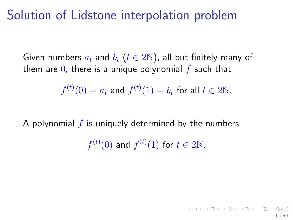### Solution of Lidstone interpolation problem

Given numbers  $a_t$  and  $b_t$  ( $t \in 2N$ ), all but finitely many of them are  $\overline{0}$ , there is a unique polynomial f such that

$$
f^{(t)}(0) = a_t
$$
 and  $f^{(t)}(1) = b_t$  for all  $t \in 2\mathbb{N}$ .

A polynomial  $f$  is uniquely determined by the numbers

 $f^{(t)}(0)$  and  $f^{(t)}(1)$  for  $t \in 2\mathbb{N}$ .

6 / 50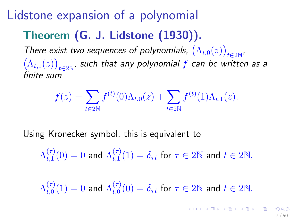# Lidstone expansion of a polynomial

# Theorem (G. J. Lidstone (1930)).

There exist two sequences of polynomials,  $(\Lambda_{t,0}(z))_{t\in 2\mathbb{N}}$ ,  $(\Lambda_{t,1}(z))_{t\in 2\mathbb{N}}$ , such that any polynomial f can be written as a finite sum

$$
f(z) = \sum_{t \in 2\mathbb{N}} f^{(t)}(0) \Lambda_{t,0}(z) + \sum_{t \in 2\mathbb{N}} f^{(t)}(1) \Lambda_{t,1}(z).
$$

Using Kronecker symbol, this is equivalent to

$$
\Lambda_{t,1}^{(\tau)}(0)=0\,\,\text{and}\,\,\Lambda_{t,1}^{(\tau)}(1)=\delta_{\tau t}\,\,\text{for}\,\,\tau\in2\mathbb{N}\,\,\text{and}\,\,t\in2\mathbb{N},
$$

 $\Lambda_{t.0}^{(\tau)}$  $t_{t,0}^{(\tau)}(1)=0$  and  $\Lambda_{t,0}^{(\tau)}$  $t_{t,0}^{(\tau)}(0)=\delta_{\tau t}$  for  $\tau\in 2\mathbb{N}$  and  $t\in 2\mathbb{N}.$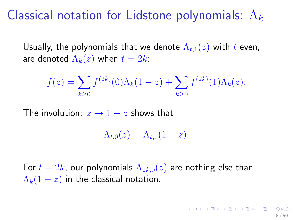# Classical notation for Lidstone polynomials:  $\Lambda_k$

Usually, the polynomials that we denote  $\Lambda_{t,1}(z)$  with t even, are denoted  $\Lambda_k(z)$  when  $t = 2k$ :

$$
f(z) = \sum_{k \ge 0} f^{(2k)}(0) \Lambda_k(1-z) + \sum_{k \ge 0} f^{(2k)}(1) \Lambda_k(z).
$$

The involution:  $z \mapsto 1 - z$  shows that

$$
\Lambda_{t,0}(z)=\Lambda_{t,1}(1-z).
$$

For  $t = 2k$ , our polynomials  $\Lambda_{2k,0}(z)$  are nothing else than  $\Lambda_k(1-z)$  in the classical notation.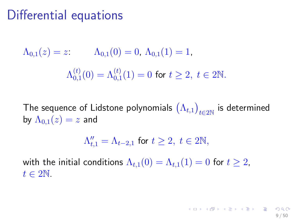# Differential equations

$$
\Lambda_{0,1}(z) = z: \qquad \Lambda_{0,1}(0) = 0, \ \Lambda_{0,1}(1) = 1,
$$

$$
\Lambda_{0,1}^{(t)}(0) = \Lambda_{0,1}^{(t)}(1) = 0 \text{ for } t \ge 2, \ t \in 2\mathbb{N}.
$$

The sequence of Lidstone polynomials  $\big(\Lambda_{t,1}\big)_{t\in 2\mathbb{N}}$  is determined by  $\Lambda_{0,1}(z) = z$  and

$$
\Lambda_{t,1}^{\prime\prime} = \Lambda_{t-2,1} \text{ for } t \ge 2, t \in 2\mathbb{N},
$$

9 / 50

メロトメ 倒す メモトメモト 一番

with the initial conditions  $\Lambda_{t,1}(0) = \Lambda_{t,1}(1) = 0$  for  $t \geq 2$ ,  $t \in 2\mathbb{N}$ .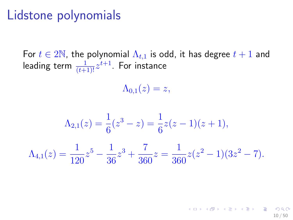## Lidstone polynomials

For  $t \in 2\mathbb{N}$ , the polynomial  $\Lambda_{t,1}$  is odd, it has degree  $t+1$  and leading term  $\frac{1}{(t+1)!}z^{t+1}.$  For instance

 $\Lambda_{0,1}(z) = z,$ 

$$
\Lambda_{2,1}(z) = \frac{1}{6}(z^3 - z) = \frac{1}{6}z(z - 1)(z + 1),
$$
  

$$
\Lambda_{4,1}(z) = \frac{1}{120}z^5 - \frac{1}{36}z^3 + \frac{7}{360}z = \frac{1}{360}z(z^2 - 1)(3z^2 - 7).
$$

K ロ X K @ X K 할 X K 할 X - 할 X Y Q Q @ 10 / 50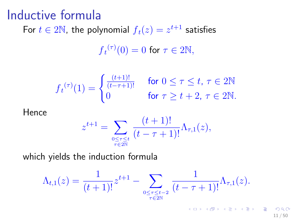### Inductive formula

For  $t \in 2\mathbb{N}$ , the polynomial  $f_t(z) = z^{t+1}$  satisfies

$$
{f_t}^{(\tau)}(0) = 0 \text{ for } \tau \in 2\mathbb{N},
$$

$$
f_t^{(\tau)}(1) = \begin{cases} \frac{(t+1)!}{(t-\tau+1)!} & \text{for } 0 \le \tau \le t, \ \tau \in 2\mathbb{N} \\ 0 & \text{for } \tau \ge t+2, \ \tau \in 2\mathbb{N}. \end{cases}
$$

Hence

$$
z^{t+1} = \sum_{0 \leq \tau \leq t \atop \tau \in 2\mathbb{N}} \frac{(t+1)!}{(t-\tau+1)!} \Lambda_{\tau,1}(z),
$$

which yields the induction formula

$$
\Lambda_{t,1}(z) = \frac{1}{(t+1)!} z^{t+1} - \sum_{\substack{0 \leq \tau \leq t-2 \\ \tau \in 2\mathbb{N}}} \frac{1}{(t-\tau+1)!} \Lambda_{\tau,1}(z).
$$

11 / 50

K ロ ▶ K @ ▶ K 할 ▶ K 할 ▶ → 할 → K Q Q Q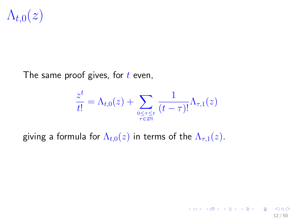$\Lambda_{t,0}(z)$ 

The same proof gives, for  $t$  even,

$$
\frac{z^t}{t!} = \Lambda_{t,0}(z) + \sum_{\substack{0 \leq \tau \leq t \\ \tau \in 2\mathbb{N}}} \frac{1}{(t-\tau)!} \Lambda_{\tau,1}(z)
$$

giving a formula for  $\Lambda_{t,0}(z)$  in terms of the  $\Lambda_{\tau,1}(z)$ .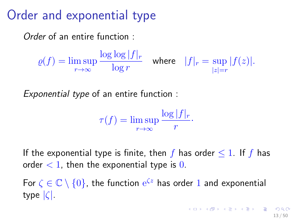# Order and exponential type

Order of an entire function :

 $\rho(f) = \limsup$ r→∞  $\log \log |f|_r$  $\frac{\log |J| r}{\log r}$  where  $|f|_r = \sup_{|z|=r}$  $|z|=r$  $|f(z)|$ .

Exponential type of an entire function :

$$
\tau(f) = \limsup_{r \to \infty} \frac{\log |f|_r}{r}.
$$

If the exponential type is finite, then f has order  $\leq 1$ . If f has order  $< 1$ , then the exponential type is 0.

For  $\zeta \in \mathbb{C} \setminus \{0\}$ , the function  $e^{\zeta z}$  has order 1 and exponential type |ζ|.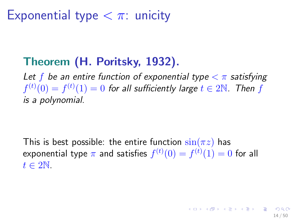# Exponential type  $<$   $\pi$ : unicity

### Theorem (H. Poritsky, 1932).

Let f be an entire function of exponential type  $\langle \pi \rangle$  satisfying  $f^{(t)}(0) = f^{(t)}(1) = 0$  for all sufficiently large  $t \in 2\mathbb{N}$ . Then  $f$ is a polynomial.

This is best possible: the entire function  $\sin(\pi z)$  has exponential type  $\pi$  and satisfies  $f^{(t)}(0)=f^{(t)}(1)=0$  for all  $t \in 2\mathbb{N}$ .

14 / 50

K ロ X K @ X K 할 X K 할 X ( 할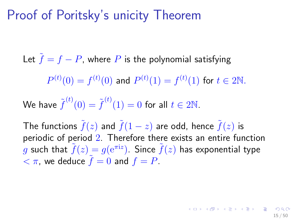# Proof of Poritsky's unicity Theorem

Let  $\tilde{f} = f - P$ , where P is the polynomial satisfying  $P^{(t)}(0) = f^{(t)}(0)$  and  $P^{(t)}(1) = f^{(t)}(1)$  for  $t \in 2\mathbb{N}.$ We have  ${\widetilde f}^{(t)}(0) = {\widetilde f}^{(t)}(1) = 0$  for all  $t \in 2{\mathbb N}.$ 

The functions  $\tilde{f}(z)$  and  $\tilde{f}(1-z)$  are odd, hence  $\tilde{f}(z)$  is periodic of period 2. Therefore there exists an entire function  $\tilde{g}$  such that  $\tilde{f}(z)=g({\rm e}^{\pi {\rm i} z}).$  Since  $\tilde{f}(z)$  has exponential type  $< \pi$ , we deduce  $f = 0$  and  $f = P$ .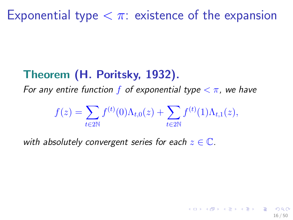### Theorem (H. Poritsky, 1932).

For any entire function f of exponential type  $\langle \pi$ , we have

$$
f(z) = \sum_{t \in 2\mathbb{N}} f^{(t)}(0) \Lambda_{t,0}(z) + \sum_{t \in 2\mathbb{N}} f^{(t)}(1) \Lambda_{t,1}(z),
$$

16 / 50

 $\left\{ \begin{array}{ccc} \pm & \pm & \pm \end{array} \right.$  and  $\left\{ \begin{array}{ccc} \pm & \pm \end{array} \right.$  and  $\left\{ \begin{array}{ccc} \pm & \pm \end{array} \right.$  and  $\left\{ \begin{array}{ccc} \pm & \pm \end{array} \right.$ 

with absolutely convergent series for each  $z \in \mathbb{C}$ .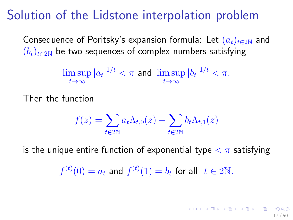# Solution of the Lidstone interpolation problem

Consequence of Poritsky's expansion formula: Let  $(a_t)_{t\in 2N}$  and  $(b_t)_{t\in 2N}$  be two sequences of complex numbers satisfying

$$
\limsup_{t\to\infty}|a_t|^{1/t} < \pi \text{ and } \limsup_{t\to\infty}|b_t|^{1/t} < \pi.
$$

Then the function

$$
f(z) = \sum_{t \in 2\mathbb{N}} a_t \Lambda_{t,0}(z) + \sum_{t \in 2\mathbb{N}} b_t \Lambda_{t,1}(z)
$$

is the unique entire function of exponential type  $\langle \pi \rangle$  satisfying

 $f^{(t)}(0)=a_t$  and  $f^{(t)}(1)=b_t$  for all  $t\in 2\mathbb{N}.$ 

イロト 不優 ト 不思 ト 不思 トー 温 17 / 50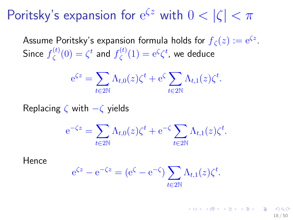# Poritsky's expansion for  $e^{\zeta z}$  with  $0 < |\zeta| < \pi$

Assume Poritsky's expansion formula holds for  $f_\zeta(z):=\mathrm{e}^{\zeta z}.$ Since  $f_{\zeta}^{(t)}$  $\zeta^{(t)}(0)=\zeta^t$  and  $f^{(t)}_\zeta$  $\zeta^{(t)}(1) = e^{\zeta} \zeta^{t}$ , we deduce

$$
e^{\zeta z} = \sum_{t \in 2\mathbb{N}} \Lambda_{t,0}(z) \zeta^t + e^{\zeta} \sum_{t \in 2\mathbb{N}} \Lambda_{t,1}(z) \zeta^t.
$$

Replacing  $\zeta$  with  $-\zeta$  yields

$$
e^{-\zeta z} = \sum_{t \in 2\mathbb{N}} \Lambda_{t,0}(z) \zeta^t + e^{-\zeta} \sum_{t \in 2\mathbb{N}} \Lambda_{t,1}(z) \zeta^t.
$$

Hence

$$
e^{\zeta z} - e^{-\zeta z} = (e^{\zeta} - e^{-\zeta}) \sum_{t \in 2\mathbb{N}} \Lambda_{t,1}(z) \zeta^{t}.
$$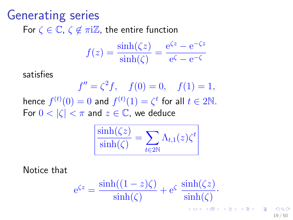# Generating series For  $\zeta \in \mathbb{C}$ ,  $\zeta \notin \pi i \mathbb{Z}$ , the entire function

$$
f(z) = \frac{\sinh(\zeta z)}{\sinh(\zeta)} = \frac{e^{\zeta z} - e^{-\zeta z}}{e^{\zeta} - e^{-\zeta}}
$$

satisfies

 $f'' = \zeta^2 f$ ,  $f(0) = 0$ ,  $f(1) = 1$ , hence  $f^{(t)}(0) = 0$  and  $f^{(t)}(1) = \zeta^t$  for all  $t \in 2\mathbb{N}$ . For  $0 < |\zeta| < \pi$  and  $z \in \mathbb{C}$ , we deduce

$$
\frac{\sinh(\zeta z)}{\sinh(\zeta)} = \sum_{t \in 2\mathbb{N}} \Lambda_{t,1}(z) \zeta^t
$$

Notice that

$$
e^{\zeta z} = \frac{\sinh((1-z)\zeta)}{\sinh(\zeta)} + e^{\zeta} \frac{\sinh(\zeta z)}{\sinh(\zeta)}.
$$

ຕα∩ 19 / 50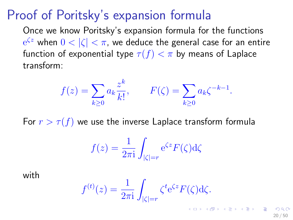### Proof of Poritsky's expansion formula

Once we know Poritsky's expansion formula for the functions  $\mathrm{e}^{\zeta z}$  when  $0<|\zeta|<\pi$ , we deduce the general case for an entire function of exponential type  $\tau(f) < \pi$  by means of Laplace transform:

$$
f(z) = \sum_{k \ge 0} a_k \frac{z^k}{k!}, \qquad F(\zeta) = \sum_{k \ge 0} a_k \zeta^{-k-1}.
$$

For  $r > \tau(f)$  we use the inverse Laplace transform formula

$$
f(z) = \frac{1}{2\pi i} \int_{|\zeta|=r} e^{\zeta z} F(\zeta) d\zeta
$$

with

$$
f^{(t)}(z) = \frac{1}{2\pi i} \int_{|\zeta|=r} \zeta^t e^{\zeta z} F(\zeta) d\zeta.
$$

20 / 50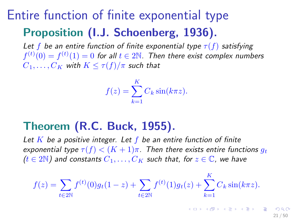# Entire function of finite exponential type Proposition (I.J. Schoenberg, 1936).

Let f be an entire function of finite exponential type  $\tau(f)$  satisfying  $f^{(t)}(0) = f^{(t)}(1) = 0$  for all  $t \in 2\mathbb{N}$ . Then there exist complex numbers  $C_1, \ldots, C_K$  with  $K \leq \tau(f)/\pi$  such that

$$
f(z) = \sum_{k=1}^{K} C_k \sin(k\pi z).
$$

### Theorem (R.C. Buck, 1955).

Let  $K$  be a positive integer. Let  $f$  be an entire function of finite exponential type  $\tau(f) < (K+1)\pi$ . Then there exists entire functions  $q_t$  $(t \in 2N)$  and constants  $C_1, \ldots, C_K$  such that, for  $z \in \mathbb{C}$ , we have

$$
f(z) = \sum_{t \in 2\mathbb{N}} f^{(t)}(0)g_t(1-z) + \sum_{t \in 2\mathbb{N}} f^{(t)}(1)g_t(z) + \sum_{k=1}^{\mathbb{N}} C_k \sin(k\pi z).
$$

K

イロト 不優 ト 不思 ト 不思 トー 理

21 / 50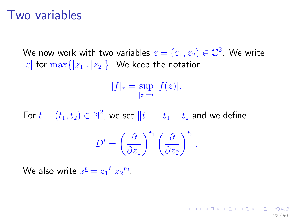### Two variables

We now work with two variables  $\underline{z}=(z_1,z_2)\in\mathbb{C}^2.$  We write |z| for  $\max\{|z_1|, |z_2|\}$ . We keep the notation

> $|f|_r = \sup$  $|z|=r$  $|f(\underline{z})|.$

For  $\underline{t}=(t_1,t_2)\in\mathbb{N}^2$ , we set  $\|\underline{t}\|=t_1+t_2$  and we define

$$
D^{\underline{t}} = \left(\frac{\partial}{\partial z_1}\right)^{t_1} \left(\frac{\partial}{\partial z_2}\right)^{t_2}.
$$

22 / 50

K ロ X K 個 X K 重 X K 重 X (重 X ) 重 → の

We also write  $\underline{z}^{\underline{t}}=z_1{}^{t_1}z_2{}^{t_2}.$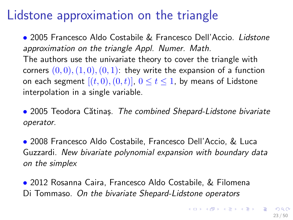### <span id="page-22-0"></span>Lidstone approximation on the triangle

• 2005 Francesco Aldo Costabile & Francesco Dell'Accio. Lidstone approximation on the triangle Appl. Numer. Math.

The authors use the univariate theory to cover the triangle with corners  $(0, 0), (1, 0), (0, 1)$ : they write the expansion of a function on each segment  $[(t, 0), (0, t)]$ ,  $0 \le t \le 1$ , by means of Lidstone interpolation in a single variable.

• 2005 Teodora Cătinas. The combined Shepard-Lidstone bivariate operator.

• 2008 Francesco Aldo Costabile, Francesco Dell'Accio, & Luca Guzzardi. New bivariate polynomial expansion with boundary data on the simplex

• 2012 Rosanna Caira, Francesco Aldo Costabile, & Filomena Di Tommaso. On the bivariate Shepard-Lidstone operators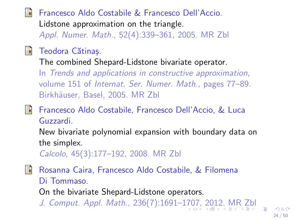#### <span id="page-23-0"></span>Francesco Aldo Costabile & Francesco Dell'Accio. ā.

[Lidstone approximation on the triangle.](https://doi.org/10.1016/j.apnum.2004.08.003)

Appl. Numer. Math., 52(4):339–361, 2005. [MR](http://msp.org/idx/mr/2112864) [Zbl](http://msp.org/idx/zbl/1064.65008)



#### Teodora Cătinaș.

[The combined Shepard-Lidstone bivariate operator.](https://doi.org/10.1007/3-7643-7356-3_7)

In Trends and applications in constructive approximation, volume 151 of Internat. Ser. Numer. Math., pages 77–89. Birkhäuser, Basel, 2005. [MR](http://msp.org/idx/mr/2147571) [Zbl](http://msp.org/idx/zbl/1081.41017)

#### F Francesco Aldo Costabile, Francesco Dell'Accio, & Luca Guzzardi.

[New bivariate polynomial expansion with boundary data on](http://dx.doi.org/10.1007/s10092-008-0149-0) [the simplex.](http://dx.doi.org/10.1007/s10092-008-0149-0)

Calcolo, 45(3):177–192, 2008. [MR](http://msp.org/idx/mr/2447991) [Zbl](http://msp.org/idx/zbl/05617988)

F Rosanna Caira, Francesco Aldo Costabile, & Filomena Di Tommaso. [On the bivariate Shepard-Lidstone operators.](https://doi.org/10.1016/j.cam.2011.10.001) J. Comput. Appl. Math., 236(7):1691–1[70](#page-22-0)[7,](#page-24-0) [2](#page-22-0)[01](#page-23-0)[2](#page-24-0)[.](#page-0-0) [MR](http://msp.org/idx/mr/2863506) [Zbl](http://msp.org/idx/zbl/1239.41001)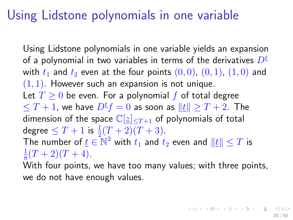# <span id="page-24-0"></span>Using Lidstone polynomials in one variable

Using Lidstone polynomials in one variable yields an expansion of a polynomial in two variables in terms of the derivatives  $D^{\underline{t}}$ with  $t_1$  and  $t_2$  even at the four points  $(0,0)$ ,  $(0,1)$ ,  $(1,0)$  and  $(1, 1)$ . However such an expansion is not unique. Let  $T \geq 0$  be even. For a polynomial f of total degree  $0\leq T+1$ , we have  $D^{t}f=0$  as soon as  $\Vert t\Vert\geq T+2.$  The dimension of the space  $\mathbb{C}[z]_{\leq T+1}$  of polynomials of total degree  $\leq T+1$  is  $\frac{1}{2}(T+2)(T+3)$ . The number of  $\underline{t} \in \mathbb{\bar{N}}^2$  with  $t_1$  and  $t_2$  even and  $\|\underline{t}\| \leq T$  is 1  $\frac{1}{8}(T+2)(T+4).$ With four points, we have too many values; with three points,

we do not have enough values.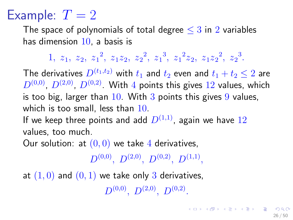# Example:  $T = 2$

The space of polynomials of total degree  $\leq$  3 in 2 variables has dimension 10, a basis is

 $1, z_1, z_2, z_1^2, z_1z_2, z_2^2, z_1^3, z_1^2z_2, z_1z_2^2, z_2^3.$ 

The derivatives  $D^{(t_1,t_2)}$  with  $t_1$  and  $t_2$  even and  $t_1 + t_2 \leq 2$  are  $D^{(0,0)}$ ,  $D^{(2,0)}$ ,  $D^{(0,2)}$ . With 4 points this gives 12 values, which is too big, larger than  $10$ . With  $3$  points this gives  $9$  values, which is too small, less than 10. If we keep three points and add  $D^{(1,1)}$ , again we have  $12$ values, too much.

Our solution: at  $(0,0)$  we take 4 derivatives,

 $D^{(0,0)},\;D^{(2,0)},\;D^{(0,2)},\;D^{(1,1)},$ 

at  $(1, 0)$  and  $(0, 1)$  we take only 3 derivatives,  $D^{(0,0)},\; D^{(2,0)},\; D^{(0,2)}.$ 

K ロ ▶ K @ ▶ K 할 > K 할 > 1 할 → 9 Q Q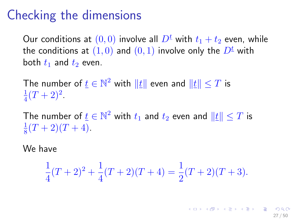# Checking the dimensions

Our conditions at  $(0,0)$  involve all  $D^{\underline{t}}$  with  $t_1 + t_2$  even, while the conditions at  $(1, 0)$  and  $(0, 1)$  involve only the  $D^{\underline{t}}$  with both  $t_1$  and  $t_2$  even.

The number of  $\underline{t} \in \mathbb{N}^2$  with  $\|\underline{t}\|$  even and  $\|\underline{t}\| \leq T$  is 1  $\frac{1}{4}(T+2)^2$ .

The number of  $\underline{t} \in \mathbb{N}^2$  with  $t_1$  and  $t_2$  even and  $\|\underline{t}\| \leq T$  is 1  $\frac{1}{8}(T+2)(T+4)$ .

We have

$$
\frac{1}{4}(T+2)^2 + \frac{1}{4}(T+2)(T+4) = \frac{1}{2}(T+2)(T+3).
$$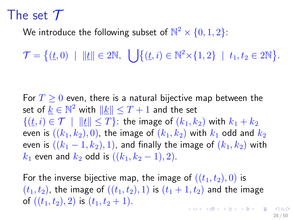# The set  $\mathcal T$

We introduce the following subset of  $\mathbb{N}^2\times\{0,1,2\}$ :

 $\mathcal{T} = \{ (\underline{t}, 0) \mid \|\underline{t}\| \in 2\mathbb{N}, \ \bigcup \{ (\underline{t}, i) \in \mathbb{N}^2 \times \{1, 2\} \mid t_1, t_2 \in 2\mathbb{N} \}.$ 

For  $T \geq 0$  even, there is a natural bijective map between the set of  $\underline{k} \in \mathbb{N}^2$  with  $\|\underline{k}\| \leq T+1$  and the set  $\{(t,i) \in \mathcal{T} \mid ||t|| < T\}$ : the image of  $(k_1, k_2)$  with  $k_1 + k_2$ even is  $((k_1, k_2), 0)$ , the image of  $(k_1, k_2)$  with  $k_1$  odd and  $k_2$ even is  $((k_1 - 1, k_2), 1)$ , and finally the image of  $(k_1, k_2)$  with  $k_1$  even and  $k_2$  odd is  $((k_1, k_2 - 1), 2)$ .

For the inverse bijective map, the image of  $((t_1,t_2),0)$  is  $(t_1,t_2)$ , the image of  $((t_1,t_2), 1)$  is  $(t_1 + 1, t_2)$  and the image of  $((t_1,t_2), 2)$  is  $(t_1,t_2+1)$ .  $\mathbf{E} = \mathbf{A} \oplus \mathbf{B} + \mathbf{A} \oplus \mathbf{B} + \mathbf{A} \oplus \mathbf{B} + \mathbf{A} \oplus \mathbf{A}$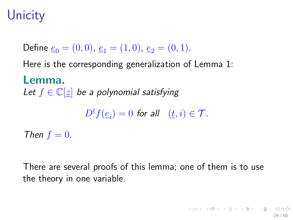# **Unicity**

Define  $e_0 = (0, 0), e_1 = (1, 0), e_2 = (0, 1).$ Here is the corresponding generalization of Lemma 1: Lemma. Let  $f \in \mathbb{C}[z]$  be a polynomial satisfying  $D^{\underline{t}}f(\underline{e}_i)=0$  for all  $(\underline{t},i)\in\mathcal{T}.$ 

Then  $f = 0$ .

There are several proofs of this lemma; one of them is to use the theory in one variable.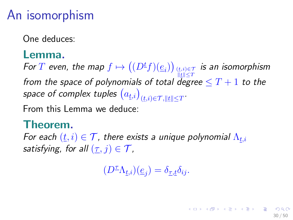# An isomorphism

One deduces:

#### Lemma.

For  $T$  even, the map  $f \mapsto \big((D^{t}f)(\underline{e}_{i})\big)_{\frac{(t,i)}{\ldots} \in \mathcal{T}}$  is an isomorphism from the space of polynomials of total degree  $\leq T+1$  to the space of complex tuples  $\left(a_{\underline{t},i}\right)_{(\underline{t},i) \in \mathcal{T}, \|\underline{t}\| \leq T}.$ 

From this Lemma we deduce:

#### Theorem.

For each  $(\underline{t}, i) \in \mathcal{T}$ , there exists a unique polynomial  $\Lambda_{t,i}$ satisfying, for all  $(\tau, j) \in \mathcal{T}$ ,

 $(D^{\underline{\tau}} \Lambda_{\underline{t},i})(\underline{e}_j) = \delta_{\underline{\tau},\underline{t}} \delta_{ij}.$ 

30 / 50

K ロ ▶ K @ ▶ K 경 ▶ K 경 ▶ X 경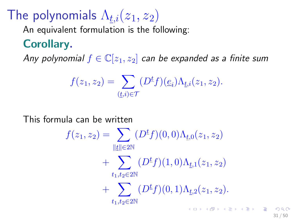# The polynomials  $\Lambda_{t,i}(z_1, z_2)$

An equivalent formulation is the following:

### Corollary.

Any polynomial  $f \in \mathbb{C}[z_1, z_2]$  can be expanded as a finite sum

$$
f(z_1, z_2) = \sum_{(\underline{t}, i) \in \mathcal{T}} (D^{\underline{t}} f)(\underline{e}_i) \Lambda_{\underline{t}, i}(z_1, z_2).
$$

This formula can be written

$$
f(z_1, z_2) = \sum_{\|\underline{t}\| \in 2\mathbb{N}} (D^{\underline{t}}f)(0, 0)\Lambda_{\underline{t},0}(z_1, z_2)
$$
  
+ 
$$
\sum_{t_1, t_2 \in 2\mathbb{N}} (D^{\underline{t}}f)(1, 0)\Lambda_{\underline{t},1}(z_1, z_2)
$$
  
+ 
$$
\sum_{t_1, t_2 \in 2\mathbb{N}} (D^{\underline{t}}f)(0, 1)\Lambda_{\underline{t},2}(z_1, z_2).
$$

 $31 / 50$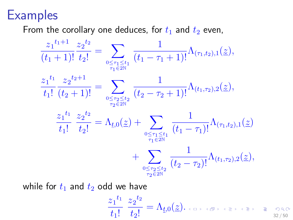## **Examples**

From the corollary one deduces, for  $t_1$  and  $t_2$  even,

$$
\frac{z_1^{t_1+1}}{(t_1+1)!} \frac{z_2^{t_2}}{t_2!} = \sum_{\substack{0 \le \tau_1 \le t_1 \\ \tau_1 \in 2\mathbb{N}}} \frac{1}{(t_1 - \tau_1 + 1)!} \Lambda_{(\tau_1, t_2), 1}(\underline{z}),
$$
\n
$$
\frac{z_1^{t_1}}{t_1!} \frac{z_2^{t_2+1}}{(t_2+1)!} = \sum_{\substack{0 \le \tau_2 \le t_2 \\ \tau_2 \in 2\mathbb{N}}} \frac{1}{(t_2 - \tau_2 + 1)!} \Lambda_{(t_1, \tau_2), 2}(\underline{z}),
$$
\n
$$
\frac{z_1^{t_1}}{t_1!} \frac{z_2^{t_2}}{t_2!} = \Lambda_{t,0}(\underline{z}) + \sum_{\substack{0 \le \tau_1 \le t_1 \\ \tau_1 \in 2\mathbb{N}}} \frac{1}{(t_1 - \tau_1)!} \Lambda_{(\tau_1, t_2), 1}(\underline{z}) + \sum_{\substack{0 \le \tau_2 \le t_2 \\ \tau_2 \in 2\mathbb{N}}} \frac{1}{(t_2 - \tau_2)!} \Lambda_{(t_1, \tau_2), 2}(\underline{z}),
$$

while for  $t_1$  and  $t_2$  odd we have

$$
\frac{z_1^{t_1}}{t_1!} \frac{z_2^{t_2}}{t_2!} = \Lambda_{\underline{t},0}(\underline{z})\tag{3.100cm}
$$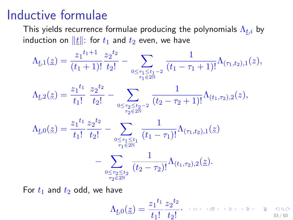### Inductive formulae

This yields recurrence formulae producing the polynomials  $\Lambda_{t,i}$  by induction on  $||\underline{t}||$ : for  $t_1$  and  $t_2$  even, we have

$$
\Lambda_{\underline{t},1}(\underline{z}) = \frac{z_1^{t_1+1}}{(t_1+1)!} \frac{z_2^{t_2}}{t_2!} - \sum_{\substack{0 \le \tau_1 \le t_1-2 \\ \tau_1 \in 2\mathbb{N}}} \frac{1}{(t_1-\tau_1+1)!} \Lambda_{(\tau_1,t_2),1}(z),
$$
\n
$$
\Lambda_{\underline{t},2}(\underline{z}) = \frac{z_1^{t_1}}{t_1!} \frac{z_2^{t_2}}{t_2!} - \sum_{\substack{0 \le \tau_2 \le t_2-2 \\ \tau_2 \in 2\mathbb{N}}} \frac{1}{(t_2-\tau_2+1)!} \Lambda_{(t_1,\tau_2),2}(z),
$$
\n
$$
\Lambda_{\underline{t},0}(\underline{z}) = \frac{z_1^{t_1}}{t_1!} \frac{z_2^{t_2}}{t_2!} - \sum_{\substack{0 \le \tau_1 \le t_1 \\ \tau_1 \in 2\mathbb{N}}} \frac{1}{(t_1-\tau_1)!} \Lambda_{(\tau_1,t_2),1}(\underline{z})
$$
\n
$$
- \sum_{\substack{0 \le \tau_2 \le t_2 \\ \tau_2 \in 2\mathbb{N}}} \frac{1}{(t_2-\tau_2)!} \Lambda_{(t_1,\tau_2),2}(\underline{z}).
$$

For  $t_1$  and  $t_2$  odd, we have

$$
\Lambda_{\underline{t},0}(\underline{z})=\frac{z_1{}^{t_1}}{t_1!}\frac{z_2{}^{t_2}}{t_2!}.\quad\text{for all }\underline{z}\text{ and }z\text{ is the }2\text{ and }z\text{ is the }2\text{ and }z\text{ is the }2\text{ and }z\text{ is the }2\text{ and }z\text{ is the }2\text{ and }z\text{ is the }2\text{ and }z\text{ is the }2\text{ and }z\text{ is the }2\text{ and }z\text{ is the }2\text{ and }z\text{ is the }2\text{ and }z\text{ is the }2\text{ and }z\text{ is the }2\text{ and }z\text{ is the }2\text{ and }z\text{ is the }2\text{ and }z\text{ is the }2\text{ and }z\text{ is the }2\text{ and }z\text{ is the }2\text{ and }z\text{ is the }2\text{ and }z\text{ is the }2\text{ and }z\text{ is the }2\text{ and }z\text{ is the }2\text{ and }z\text{ is the }2\text{ and }z\text{ is the }2\text{ and }z\text{ is the }2\text{ and }z\text{ is the }2\text{ and }z\text{ is the }2\text{ and }z\text{ is the }2\text{ and }z\text{ is the }2\text{ and }z\text{ is the }2\text{ and }z\text{ is the }2\text{ and }z\text{ is the }2\text{ and }z\text{ is the }2\text{ and }z\text{ is the }2\text{ and }z\text{ is the }2\text{ and }z\text{ is the }2\text{ and }z\text{ is the }2\text{ and }z\text{ is the }2\text{ and }z\text{ is the }2\text{ and }z\text{ is the }2\text{ and }z\text{ is the }2\text{ and }z\text{ is the }2\text{ and }z\text{ is the }2\text{ and }z\text{ is the }2\text{ and }z\text{ is the }2\text{ and }z\text{ is the }2\text{ and }z\text{ is the }2\text{ and }z\text{ is the }2\text{ and }z\text{ is the }2\text{ and }z\text{ is the }2\text{ and }z\text{ is the }2\text{ and }z\text{ is the }2\text{ and }z\text{ is the }2\text{ and }z\text{ is the }2\text{ and }z\text{ is
$$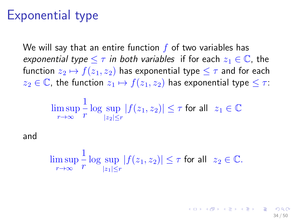# Exponential type

We will say that an entire function  $f$  of two variables has exponential type  $\leq \tau$  in both variables if for each  $z_1 \in \mathbb{C}$ , the function  $z_2 \mapsto f(z_1, z_2)$  has exponential type  $\leq \tau$  and for each  $z_2 \in \mathbb{C}$ , the function  $z_1 \mapsto f(z_1, z_2)$  has exponential type  $\leq \tau$ :

$$
\limsup_{r\to\infty}\frac{1}{r}\log\sup_{|z_2|\leq r}|f(z_1,z_2)|\leq\tau\text{ for all }\ z_1\in\mathbb{C}
$$

and

$$
\limsup_{r\to\infty}\frac{1}{r}\log\sup_{|z_1|\leq r}|f(z_1,z_2)|\leq \tau\text{ for all }\ z_2\in\mathbb{C}.
$$

34 / 50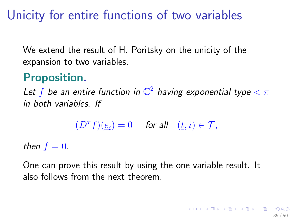# Unicity for entire functions of two variables

We extend the result of H. Poritsky on the unicity of the expansion to two variables.

### Proposition.

Let  $f$  be an entire function in  $\mathbb{C}^2$  having exponential type  $<\pi$ in both variables. If

$$
(D^\underline{\tau}f)(\underline{e}_i)=0 \quad \text{ for all} \quad (\underline{t},i)\in\mathcal{T},
$$

then  $f = 0$ .

One can prove this result by using the one variable result. It also follows from the next theorem.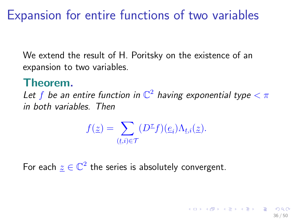# <span id="page-35-0"></span>Expansion for entire functions of two variables

We extend the result of H. Poritsky on the existence of an expansion to two variables.

### Theorem.

Let  $f$  be an entire function in  $\mathbb{C}^2$  having exponential type  $<\pi$ in both variables. Then

$$
f(\underline{z}) = \sum_{(\underline{t},i) \in \mathcal{T}} (D^{\underline{\tau}}f)(\underline{e}_i) \Lambda_{\underline{t},i}(\underline{z}).
$$

36 / 50

For each  $\underline{z}\in\mathbb{C}^2$  the series is absolutely convergent.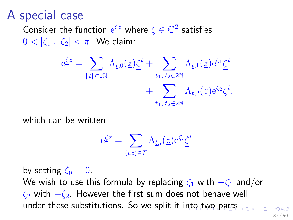# <span id="page-36-0"></span>A special case

Consider the function  $e^{\underline{\zeta}z}$  where  $\zeta\in\mathbb{C}^2$  satisfies  $0 < |\zeta_1|, |\zeta_2| < \pi$ . We claim:

$$
\begin{aligned} \mathbf{e}^{\underline{\zeta}\underline{z}}&=\sum_{\|\underline{t}\|\in 2\mathbb{N}}\Lambda_{\underline{t},0}(\underline{z})\underline{\zeta}^{\underline{t}}+\sum_{t_1,\;t_2\in 2\mathbb{N}}\Lambda_{\underline{t},1}(\underline{z})\mathbf{e}^{\zeta_1}\underline{\zeta}^{\underline{t}}\\ &+\sum_{t_1,\;t_2\in 2\mathbb{N}}\Lambda_{\underline{t},2}(\underline{z})\mathbf{e}^{\zeta_2}\underline{\zeta}^{\underline{t}}.\end{aligned}
$$

which can be written

$$
\mathrm{e}^{\underline{\zeta} \underline{z}} = \sum_{(\underline{t},i) \in \mathcal{T}} \Lambda_{\underline{t},i}(\underline{z}) \mathrm{e}^{\zeta_i} \underline{\zeta}^{\underline{t}}
$$

by setting  $\zeta_0 = 0$ . We wish to use this formula by replacing  $\zeta_1$  with  $-\zeta_1$  and/or  $\zeta_2$  with  $-\zeta_2$ . However the first sum does not behave well under these substitutions. So we split it i[nt](#page-35-0)[o t](#page-37-0)[w](#page-35-0)[o](#page-36-0) [p](#page-37-0)[ar](#page-0-0)[ts.](#page-49-0)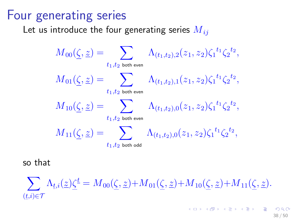### <span id="page-37-0"></span>Four generating series

Let us introduce the four generating series  $M_{ii}$ 

$$
\begin{aligned} M_{00}(\underline{\zeta},\underline{z})&=\sum_{t_1,t_2 \text{ both even}}\Lambda_{(t_1,t_2),2}(z_1,z_2)\zeta_1{}^{t_1}\zeta_2{}^{t_2},\\ M_{01}(\underline{\zeta},\underline{z})&=\sum_{t_1,t_2 \text{ both even}}\Lambda_{(t_1,t_2),1}(z_1,z_2)\zeta_1{}^{t_1}\zeta_2{}^{t_2},\\ M_{10}(\underline{\zeta},\underline{z})&=\sum_{t_1,t_2 \text{ both even}}\Lambda_{(t_1,t_2),0}(z_1,z_2)\zeta_1{}^{t_1}\zeta_2{}^{t_2},\\ M_{11}(\underline{\zeta},\underline{z})&=\sum_{t_1,t_2 \text{ both odd}}\Lambda_{(t_1,t_2),0}(z_1,z_2)\zeta_1{}^{t_1}\zeta_2{}^{t_2}, \end{aligned}
$$

so that

 $\sum_{\Delta_{t,i}(\mathcal{Z})} \Delta_{t,i}(\mathcal{Z}) \zeta^{\mathcal{L}} = M_{00}(\zeta, \mathcal{Z}) + M_{01}(\zeta, \mathcal{Z}) + M_{10}(\zeta, \mathcal{Z}) + M_{11}(\zeta, \mathcal{Z}).$  $(t,i) \in \mathcal{T}$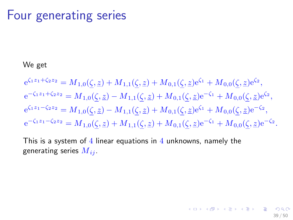### Four generating series

#### We get

$$
e^{\zeta_1 z_1 + \zeta_2 z_2} = M_{1,0}(\underline{\zeta}, \underline{z}) + M_{1,1}(\underline{\zeta}, \underline{z}) + M_{0,1}(\underline{\zeta}, \underline{z})e^{\zeta_1} + M_{0,0}(\underline{\zeta}, \underline{z})e^{\zeta_2},
$$
  
\n
$$
e^{-\zeta_1 z_1 + \zeta_2 z_2} = M_{1,0}(\underline{\zeta}, \underline{z}) - M_{1,1}(\underline{\zeta}, \underline{z}) + M_{0,1}(\underline{\zeta}, \underline{z})e^{-\zeta_1} + M_{0,0}(\underline{\zeta}, \underline{z})e^{\zeta_2},
$$
  
\n
$$
e^{\zeta_1 z_1 - \zeta_2 z_2} = M_{1,0}(\underline{\zeta}, \underline{z}) - M_{1,1}(\underline{\zeta}, \underline{z}) + M_{0,1}(\underline{\zeta}, \underline{z})e^{\zeta_1} + M_{0,0}(\underline{\zeta}, \underline{z})e^{-\zeta_2},
$$
  
\n
$$
e^{-\zeta_1 z_1 - \zeta_2 z_2} = M_{1,0}(\underline{\zeta}, \underline{z}) + M_{1,1}(\underline{\zeta}, \underline{z}) + M_{0,1}(\underline{\zeta}, \underline{z})e^{-\zeta_1} + M_{0,0}(\underline{\zeta}, \underline{z})e^{-\zeta_2}.
$$

This is a system of  $4$  linear equations in  $4$  unknowns, namely the generating series  $M_{ij}$ .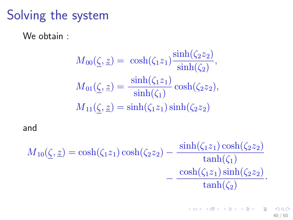# Solving the system

We obtain :

$$
M_{00}(\underline{\zeta}, \underline{z}) = \cosh(\zeta_1 z_1) \frac{\sinh(\zeta_2 z_2)}{\sinh(\zeta_2)},
$$
  

$$
M_{01}(\underline{\zeta}, \underline{z}) = \frac{\sinh(\zeta_1 z_1)}{\sinh(\zeta_1)} \cosh(\zeta_2 z_2),
$$
  

$$
M_{11}(\zeta, \underline{z}) = \sinh(\zeta_1 z_1) \sinh(\zeta_2 z_2)
$$

and

$$
M_{10}(\underline{\zeta},\underline{z}) = \cosh(\zeta_1 z_1) \cosh(\zeta_2 z_2) - \frac{\sinh(\zeta_1 z_1) \cosh(\zeta_2 z_2)}{\tanh(\zeta_1)} - \frac{\cosh(\zeta_1 z_1) \sinh(\zeta_2 z_2)}{\tanh(\zeta_2)}.
$$

K ロンス (個) > スミンス(ミン) () ミ  $2990$ 40 / 50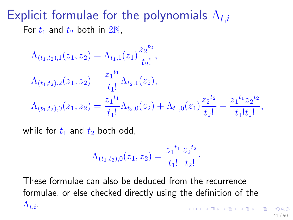### Explicit formulae for the polynomials  $\Lambda_{t,i}$ For  $t_1$  and  $t_2$  both in  $2N$ ,

$$
\Lambda_{(t_1,t_2),1}(z_1, z_2) = \Lambda_{t_1,1}(z_1) \frac{z_2^{t_2}}{t_2!},
$$
  
\n
$$
\Lambda_{(t_1,t_2),2}(z_1, z_2) = \frac{z_1^{t_1}}{t_1!} \Lambda_{t_2,1}(z_2),
$$
  
\n
$$
\Lambda_{(t_1,t_2),0}(z_1, z_2) = \frac{z_1^{t_1}}{t_1!} \Lambda_{t_2,0}(z_2) + \Lambda_{t_1,0}(z_1) \frac{z_2^{t_2}}{t_2!} - \frac{z_1^{t_1} z_2^{t_2}}{t_1! t_2!},
$$

while for  $t_1$  and  $t_2$  both odd,

$$
\Lambda_{(t_1,t_2),0}(z_1,z_2)=\frac{z_1^{t_1}}{t_1!}\frac{z_2^{t_2}}{t_2!}.
$$

These formulae can also be deduced from the recurrence formulae, or else checked directly using the definition of the  $\Lambda_{\underline{t},i}$  . 

41 / 50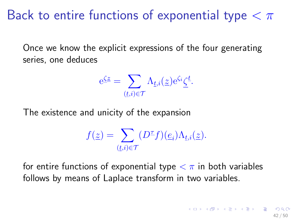# Back to entire functions of exponential type  $< \pi$

Once we know the explicit expressions of the four generating series, one deduces

$$
e^{\underline{\zeta}\underline{z}} = \sum_{(\underline{t},i)\in\mathcal{T}} \Lambda_{\underline{t},i}(\underline{z}) e^{\zeta_i} \underline{\zeta}^{\underline{t}}.
$$

The existence and unicity of the expansion

$$
f(\underline{z}) = \sum_{(\underline{t},i) \in \mathcal{T}} (D^{\underline{\tau}}f)(\underline{e}_i) \Lambda_{\underline{t},i}(\underline{z}).
$$

for entire functions of exponential type  $\langle \pi \rangle$  in both variables follows by means of Laplace transform in two variables.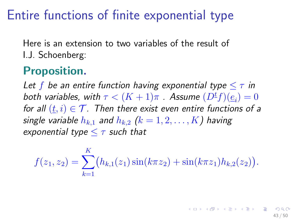# Entire functions of finite exponential type

Here is an extension to two variables of the result of I.J. Schoenberg:

### Proposition.

Let f be an entire function having exponential type  $\leq \tau$  in both variables, with  $\tau < (K+1)\pi$  . Assume  $(D^{\underline{t}}f)(\underline{e}_i)=0$ for all  $(t, i) \in \mathcal{T}$ . Then there exist even entire functions of a single variable  $h_{k,1}$  and  $h_{k,2}$   $(k = 1, 2, \ldots, K)$  having exponential type  $\leq \tau$  such that

$$
f(z_1, z_2) = \sum_{k=1}^{K} (h_{k,1}(z_1) \sin(k\pi z_2) + \sin(k\pi z_1) h_{k,2}(z_2)).
$$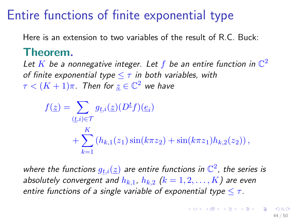# Entire functions of finite exponential type

Here is an extension to two variables of the result of R.C. Buck:

#### Theorem.

Let K be a nonnegative integer. Let f be an entire function in  $\mathbb{C}^2$ of finite exponential type  $\leq \tau$  in both variables, with  $\tau < (K+1)\pi.$  Then for  $\underline{z} \in \mathbb{C}^2$  we have

$$
f(\underline{z}) = \sum_{(\underline{t},i) \in \mathcal{T}} g_{\underline{t},i}(\underline{z})(D^{\underline{t}}f)(\underline{e}_i) + \sum_{k=1}^K (h_{k,1}(z_1) \sin(k\pi z_2) + \sin(k\pi z_1)h_{k,2}(z_2)),
$$

where the functions  $g_{t,i}(\underline{z})$  are entire functions in  $\mathbb{C}^2$ , the series is absolutely convergent and  $h_{k,1}$ ,  $h_{k,2}$   $(k = 1, 2, ..., K)$  are even entire functions of a single variable of exponential type  $\leq \tau$ .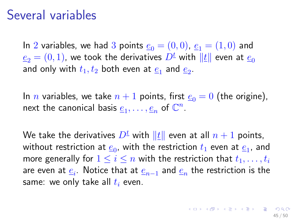### Several variables

In 2 variables, we had 3 points  $e_0 = (0,0)$ ,  $e_1 = (1,0)$  and  $e_2 = (0, 1)$ , we took the derivatives  $D^{\underline{t}}$  with  $||t||$  even at  $e_0$ and only with  $t_1,t_2$  both even at  $\underline{e}_1$  and  $\underline{e}_2.$ 

In *n* variables, we take  $n + 1$  points, first  $e_0 = 0$  (the origine), next the canonical basis  $\underline{e}_1, \ldots, \underline{e}_n$  of  $\mathbb{C}^n$ .

We take the derivatives  $D^t$  with  $||t||$  even at all  $n + 1$  points, without restriction at  $\underline{e}_0$ , with the restriction  $t_1$  even at  $\underline{e}_1$ , and more generally for  $1 \leq i \leq n$  with the restriction that  $t_1, \ldots, t_i$ are even at  $\underline{e}_i.$  Notice that at  $\underline{e}_{n-1}$  and  $\underline{e}_n$  the restriction is the same: we only take all  $t_i$  even.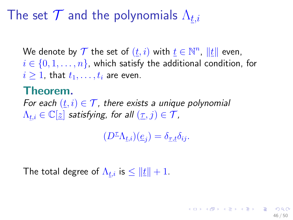# The set  $\mathcal T$  and the polynomials  $\Lambda_{t,i}$

We denote by  $\mathcal T$  the set of  $(t, i)$  with  $\underline{t} \in \mathbb{N}^n$ ,  $\|\underline{t}\|$  even,  $i \in \{0, 1, \ldots, n\}$ , which satisfy the additional condition, for  $i \geq 1$ , that  $t_1, \ldots, t_i$  are even.

#### Theorem.

For each  $(t, i) \in \mathcal{T}$ , there exists a unique polynomial  $\Lambda_{t,i} \in \mathbb{C}[z]$  satisfying, for all  $(\tau, j) \in \mathcal{T}$ ,

 $(D^{\underline{\tau}}\Lambda_{\underline{t},i})(\underline{e}_j)=\delta_{\underline{\tau},\underline{t}}\delta_{ij}.$ 

46 / 50

The total degree of  $\Lambda_{\underline{t},i}$  is  $\leq \|\underline{t}\|+1.$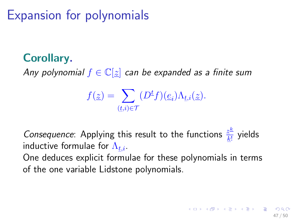Expansion for polynomials

### Corollary.

Any polynomial  $f \in \mathbb{C}[z]$  can be expanded as a finite sum

$$
f(\underline{z}) = \sum_{(\underline{t},i) \in \mathcal{T}} (D^{\underline{t}}f)(\underline{e}_i) \Lambda_{\underline{t},i}(\underline{z}).
$$

Consequence: Applying this result to the functions  $\frac{z^k}{k!}$  $\frac{\underline{z}-\underline{v}}{\underline{k}!}$  yields inductive formulae for  $\Lambda_{\underline{t},i}.$ 

One deduces explicit formulae for these polynomials in terms of the one variable Lidstone polynomials.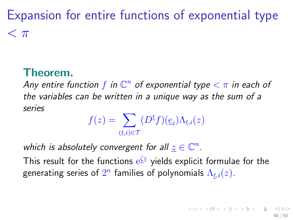<span id="page-47-0"></span>Expansion for entire functions of exponential type  $< \pi$ 

### Theorem.

Any entire function  $f$  in  $\mathbb{C}^n$  of exponential type  $<\pi$  in each of the variables can be written in a unique way as the sum of a series

$$
f(z) = \sum_{(t,i) \in \mathcal{T}} (D^t f)(\underline{e}_i) \Lambda_{t,i}(z)
$$

which is absolutely convergent for all  $\underline{z} \in \mathbb{C}^n$ .

This result for the functions  $\mathrm{e}^{\underline{\zeta}z}$  yields explicit formulae for the generating series of  $2^n$  families of polynomials  $\Lambda_{\underline{t},i}(z).$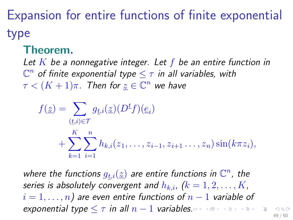Expansion for entire functions of finite exponential type

#### Theorem.

Let  $K$  be a nonnegative integer. Let  $f$  be an entire function in  $\overline{\mathbb{C}^n}$  of finite exponential type  $\leq \tau$  in all variables, with  $\tau < (K+1)\pi$ . Then for  $\underline{z} \in \mathbb{C}^n$  we have

$$
f(\underline{z}) = \sum_{(\underline{t},i) \in \mathcal{T}} g_{\underline{t},i}(\underline{z})(D^{\underline{t}}f)(\underline{e}_i) + \sum_{k=1}^K \sum_{i=1}^n h_{k,i}(z_1,\ldots,z_{i-1},z_{i+1}\ldots,z_n) \sin(k\pi z_i),
$$

where the functions  $g_{t,i}(\underline{z})$  are entire functions in  $\mathbb{C}^n$ , the series is absolutely convergent and  $h_{k,i}$ ,  $(k=1,2,\ldots,K,$  $i = 1, \ldots, n$  are even entire functions of  $n - 1$  variable of exponential type  $\leq \tau$  in all  $n-1$  variabl[es.](#page-47-0)

49 / 50